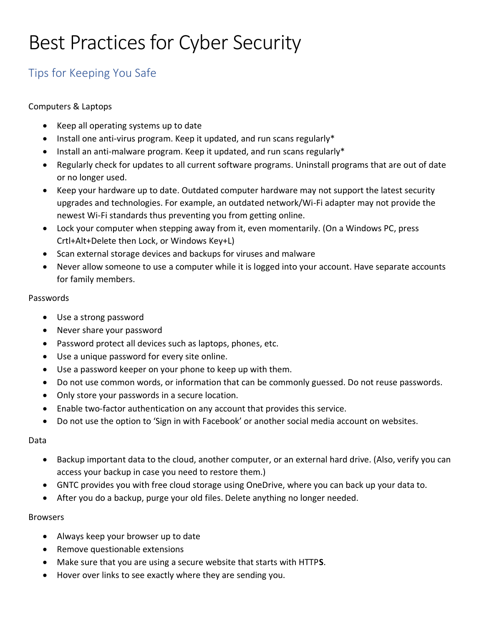# Best Practices for Cyber Security

# Tips for Keeping You Safe

# Computers & Laptops

- Keep all operating systems up to date
- Install one anti-virus program. Keep it updated, and run scans regularly\*
- Install an anti-malware program. Keep it updated, and run scans regularly\*
- • Regularly check for updates to all current software programs. Uninstall programs that are out of date or no longer used.
- • Keep your hardware up to date. Outdated computer hardware may not support the latest security upgrades and technologies. For example, an outdated network/Wi-Fi adapter may not provide the newest Wi-Fi standards thus preventing you from getting online.
- • Lock your computer when stepping away from it, even momentarily. (On a Windows PC, press Crtl+Alt+Delete then Lock, or Windows Key+L)
- Scan external storage devices and backups for viruses and malware
- • Never allow someone to use a computer while it is logged into your account. Have separate accounts for family members.

# Passwords

- Use a strong password
- Never share your password
- Password protect all devices such as laptops, phones, etc.
- Use a unique password for every site online.
- Use a password keeper on your phone to keep up with them.
- Do not use common words, or information that can be commonly guessed. Do not reuse passwords.
- Only store your passwords in a secure location.
- Enable two-factor authentication on any account that provides this service.
- Do not use the option to 'Sign in with Facebook' or another social media account on websites.

## Data

- • Backup important data to the cloud, another computer, or an external hard drive. (Also, verify you can access your backup in case you need to restore them.)
- GNTC provides you with free cloud storage using OneDrive, where you can back up your data to.
- After you do a backup, purge your old files. Delete anything no longer needed.

# Browsers

- Always keep your browser up to date
- Remove questionable extensions
- Make sure that you are using a secure website that starts with HTTP**S**.
- Hover over links to see exactly where they are sending you.